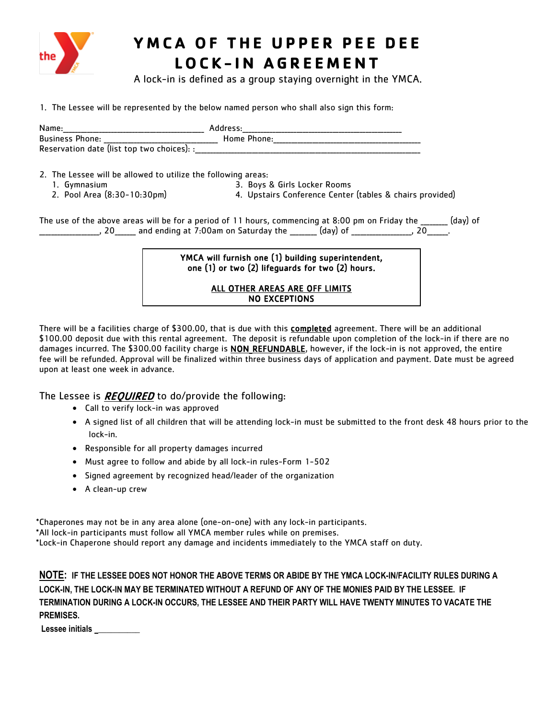

## **YMCA OF THE UPPER PEE DEE LOCK - IN AGREEMENT**

A lock-in is defined as a group staying overnight in the YMCA.

1. The Lessee will be represented by the below named person who shall also sign this form:

| Name:                                      | Address:    |  |
|--------------------------------------------|-------------|--|
| <b>Business Phone:</b>                     | Home Phone: |  |
| Reservation date (list top two choices): : |             |  |

- 2. The Lessee will be allowed to utilize the following areas:
	-
- 
- 
- 
- 1. Gymnasium 3. Boys & Girls Locker Rooms<br>2. Pool Area (8:30-10:30pm) 4. Upstairs Conference Center 4. Upstairs Conference Center (tables & chairs provided)

The use of the above areas will be for a period of 11 hours, commencing at 8:00 pm on Friday the \_\_\_\_\_\_\_ (day) of \_\_\_\_\_\_\_\_\_\_\_\_\_\_\_\_\_\_\_\_, 20\_\_\_\_\_\_\_ and ending at 7:00am on Saturday the \_\_\_\_\_\_\_\_\_ (day) of \_\_\_\_\_\_\_\_\_\_\_\_\_\_\_\_\_\_\_\_, 20\_\_\_\_\_\_\_.

> YMCA will furnish one (1) building superintendent, one (1) or two (2) lifeguards for two (2) hours.

### ALL OTHER AREAS ARE OFF LIMITS NO EXCEPTIONS Ī

There will be a facilities charge of \$300.00, that is due with this completed agreement. There will be an additional \$100.00 deposit due with this rental agreement. The deposit is refundable upon completion of the lock-in if there are no damages incurred. The \$300.00 facility charge is **NON\_REFUNDABLE**, however, if the lock-in is not approved, the entire fee will be refunded. Approval will be finalized within three business days of application and payment. Date must be agreed upon at least one week in advance.

The Lessee is *REQUIRED* to do/provide the following:

- Call to verify lock-in was approved
- A signed list of all children that will be attending lock-in must be submitted to the front desk 48 hours prior to the lock-in.
- Responsible for all property damages incurred
- Must agree to follow and abide by all lock-in rules-Form 1-502
- Signed agreement by recognized head/leader of the organization
- A clean-up crew

\*Chaperones may not be in any area alone (one-on-one) with any lock-in participants. \*All lock-in participants must follow all YMCA member rules while on premises. \*Lock-in Chaperone should report any damage and incidents immediately to the YMCA staff on duty.

**NOTE: IF THE LESSEE DOES NOT HONOR THE ABOVE TERMS OR ABIDE BY THE YMCA LOCK-IN/FACILITY RULES DURING A LOCK-IN, THE LOCK-IN MAY BE TERMINATED WITHOUT A REFUND OF ANY OF THE MONIES PAID BY THE LESSEE. IF TERMINATION DURING A LOCK-IN OCCURS, THE LESSEE AND THEIR PARTY WILL HAVE TWENTY MINUTES TO VACATE THE PREMISES.** 

**Lessee initials \_\_\_\_\_\_\_\_\_\_**